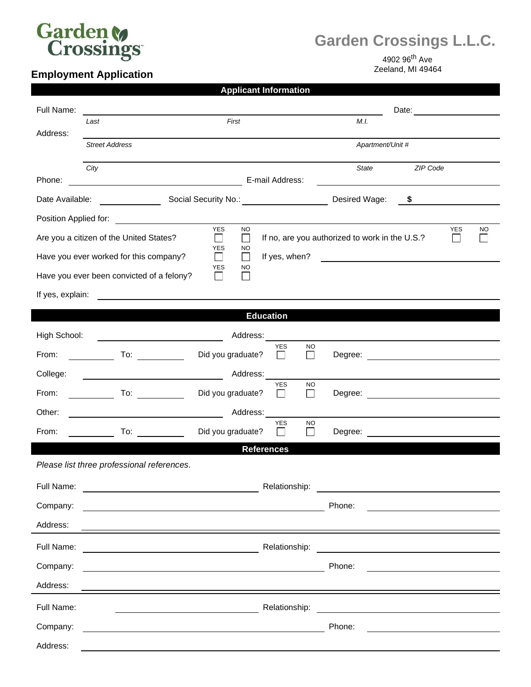

## **Garden Crossings L.L.C.**

## **Employment Application**

4902 96<sup>th</sup> Ave<br>Zeeland, MI 49464

## **Applicant Information**

| Full Name:                                                                                  |                                                                                                                                                                                                                                |                                                                                                                      |                                                    | Date: <u>______</u> _____   |  |
|---------------------------------------------------------------------------------------------|--------------------------------------------------------------------------------------------------------------------------------------------------------------------------------------------------------------------------------|----------------------------------------------------------------------------------------------------------------------|----------------------------------------------------|-----------------------------|--|
| Address:                                                                                    | Last                                                                                                                                                                                                                           | First                                                                                                                | M.I.                                               |                             |  |
|                                                                                             | <b>Street Address</b>                                                                                                                                                                                                          |                                                                                                                      | Apartment/Unit #                                   |                             |  |
|                                                                                             | City                                                                                                                                                                                                                           |                                                                                                                      | State                                              | ZIP Code                    |  |
| Phone:                                                                                      | <u> 1989 - Johann Barn, mars an t-Amerikaansk kommunister (</u>                                                                                                                                                                | E-mail Address:                                                                                                      |                                                    |                             |  |
|                                                                                             |                                                                                                                                                                                                                                | Date Available: <u>[19] Social Security No.:</u> [20] Notice 2014 2014                                               |                                                    | Desired Wage: $\frac{1}{2}$ |  |
| Position Applied for: <u>_____________________</u><br><b>YES</b><br><b>NO</b><br><b>YES</b> |                                                                                                                                                                                                                                |                                                                                                                      |                                                    |                             |  |
|                                                                                             | Are you a citizen of the United States?                                                                                                                                                                                        | $\Box$<br>$\Box$                                                                                                     | If no, are you authorized to work in the U.S.?     | <b>NO</b><br>$\perp$        |  |
|                                                                                             | Have you ever worked for this company?                                                                                                                                                                                         | <b>YES</b><br><b>NO</b><br>If yes, when?<br>$\Box$<br>$\mathsf{L}$                                                   | <u> 1989 - John Stein, Amerikaansk politiker (</u> |                             |  |
|                                                                                             | Have you ever been convicted of a felony?                                                                                                                                                                                      | YES<br>NO                                                                                                            |                                                    |                             |  |
| If yes, explain:                                                                            | <u> 1980 - John Stein, Amerikaansk politiker (</u>                                                                                                                                                                             |                                                                                                                      |                                                    |                             |  |
| <b>Education</b>                                                                            |                                                                                                                                                                                                                                |                                                                                                                      |                                                    |                             |  |
| High School:                                                                                | <u> 1980 - John Stein, Amerikaansk politiker (</u> † 1910)                                                                                                                                                                     | Address:                                                                                                             |                                                    |                             |  |
| From:                                                                                       |                                                                                                                                                                                                                                | <b>YES</b><br><b>NO</b><br>Did you graduate?<br>$\mathsf{L}$<br>$\mathbf{I}$                                         |                                                    |                             |  |
| College:                                                                                    |                                                                                                                                                                                                                                | Address:                                                                                                             |                                                    |                             |  |
| From:                                                                                       | $\overline{\phantom{a}}$ To: $\overline{\phantom{a}}$                                                                                                                                                                          | <b>YES</b><br><b>NO</b><br>Did you graduate?<br>П<br>$\mathbf{I}$                                                    |                                                    |                             |  |
| Other:                                                                                      | <u> 1980 - Johann Barbara, martin a</u>                                                                                                                                                                                        | Address:                                                                                                             |                                                    |                             |  |
| From:                                                                                       | To: the contract of the contract of the contract of the contract of the contract of the contract of the contract of the contract of the contract of the contract of the contract of the contract of the contract of the contra | <b>YES</b><br><b>NO</b><br>Did you graduate?<br>$\perp$<br>$\perp$                                                   |                                                    |                             |  |
|                                                                                             |                                                                                                                                                                                                                                | <b>References</b>                                                                                                    |                                                    |                             |  |
|                                                                                             | Please list three professional references.                                                                                                                                                                                     |                                                                                                                      |                                                    |                             |  |
| Full Name:                                                                                  |                                                                                                                                                                                                                                | Relationship:                                                                                                        |                                                    |                             |  |
| Company:                                                                                    |                                                                                                                                                                                                                                |                                                                                                                      | Phone:                                             |                             |  |
| Address:                                                                                    |                                                                                                                                                                                                                                |                                                                                                                      |                                                    |                             |  |
| Full Name:                                                                                  | Relationship:                                                                                                                                                                                                                  |                                                                                                                      |                                                    |                             |  |
| Company:                                                                                    |                                                                                                                                                                                                                                | <u> 1989 - Johann Barbara, marka a shekara tsa 1989 - An tsa 1989 - An tsa 1989 - An tsa 1989 - An tsa 1989 - An</u> | Phone:                                             |                             |  |
| Address:                                                                                    |                                                                                                                                                                                                                                |                                                                                                                      |                                                    |                             |  |
| Full Name:                                                                                  |                                                                                                                                                                                                                                | Relationship:                                                                                                        |                                                    |                             |  |
| Company:                                                                                    |                                                                                                                                                                                                                                |                                                                                                                      | Phone:                                             |                             |  |
| Address:                                                                                    |                                                                                                                                                                                                                                |                                                                                                                      |                                                    |                             |  |